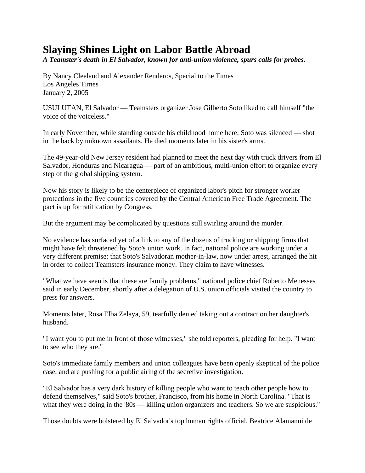## **Slaying Shines Light on Labor Battle Abroad**

*A Teamster's death in El Salvador, known for anti-union violence, spurs calls for probes.* 

By Nancy Cleeland and Alexander Renderos, Special to the Times Los Angeles Times January 2, 2005

USULUTAN, El Salvador — Teamsters organizer Jose Gilberto Soto liked to call himself "the voice of the voiceless."

In early November, while standing outside his childhood home here, Soto was silenced — shot in the back by unknown assailants. He died moments later in his sister's arms.

The 49-year-old New Jersey resident had planned to meet the next day with truck drivers from El Salvador, Honduras and Nicaragua — part of an ambitious, multi-union effort to organize every step of the global shipping system.

Now his story is likely to be the centerpiece of organized labor's pitch for stronger worker protections in the five countries covered by the Central American Free Trade Agreement. The pact is up for ratification by Congress.

But the argument may be complicated by questions still swirling around the murder.

No evidence has surfaced yet of a link to any of the dozens of trucking or shipping firms that might have felt threatened by Soto's union work. In fact, national police are working under a very different premise: that Soto's Salvadoran mother-in-law, now under arrest, arranged the hit in order to collect Teamsters insurance money. They claim to have witnesses.

"What we have seen is that these are family problems," national police chief Roberto Menesses said in early December, shortly after a delegation of U.S. union officials visited the country to press for answers.

Moments later, Rosa Elba Zelaya, 59, tearfully denied taking out a contract on her daughter's husband.

"I want you to put me in front of those witnesses," she told reporters, pleading for help. "I want to see who they are."

Soto's immediate family members and union colleagues have been openly skeptical of the police case, and are pushing for a public airing of the secretive investigation.

"El Salvador has a very dark history of killing people who want to teach other people how to defend themselves," said Soto's brother, Francisco, from his home in North Carolina. "That is what they were doing in the '80s — killing union organizers and teachers. So we are suspicious."

Those doubts were bolstered by El Salvador's top human rights official, Beatrice Alamanni de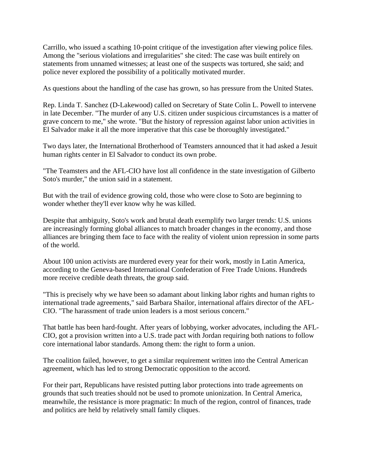Carrillo, who issued a scathing 10-point critique of the investigation after viewing police files. Among the "serious violations and irregularities" she cited: The case was built entirely on statements from unnamed witnesses; at least one of the suspects was tortured, she said; and police never explored the possibility of a politically motivated murder.

As questions about the handling of the case has grown, so has pressure from the United States.

Rep. Linda T. Sanchez (D-Lakewood) called on Secretary of State Colin L. Powell to intervene in late December. "The murder of any U.S. citizen under suspicious circumstances is a matter of grave concern to me," she wrote. "But the history of repression against labor union activities in El Salvador make it all the more imperative that this case be thoroughly investigated."

Two days later, the International Brotherhood of Teamsters announced that it had asked a Jesuit human rights center in El Salvador to conduct its own probe.

"The Teamsters and the AFL-CIO have lost all confidence in the state investigation of Gilberto Soto's murder," the union said in a statement.

But with the trail of evidence growing cold, those who were close to Soto are beginning to wonder whether they'll ever know why he was killed.

Despite that ambiguity, Soto's work and brutal death exemplify two larger trends: U.S. unions are increasingly forming global alliances to match broader changes in the economy, and those alliances are bringing them face to face with the reality of violent union repression in some parts of the world.

About 100 union activists are murdered every year for their work, mostly in Latin America, according to the Geneva-based International Confederation of Free Trade Unions. Hundreds more receive credible death threats, the group said.

"This is precisely why we have been so adamant about linking labor rights and human rights to international trade agreements," said Barbara Shailor, international affairs director of the AFL-CIO. "The harassment of trade union leaders is a most serious concern."

That battle has been hard-fought. After years of lobbying, worker advocates, including the AFL-CIO, got a provision written into a U.S. trade pact with Jordan requiring both nations to follow core international labor standards. Among them: the right to form a union.

The coalition failed, however, to get a similar requirement written into the Central American agreement, which has led to strong Democratic opposition to the accord.

For their part, Republicans have resisted putting labor protections into trade agreements on grounds that such treaties should not be used to promote unionization. In Central America, meanwhile, the resistance is more pragmatic: In much of the region, control of finances, trade and politics are held by relatively small family cliques.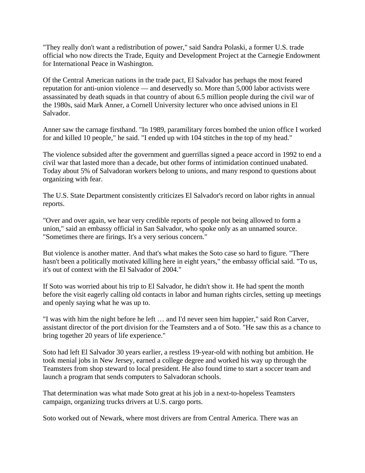"They really don't want a redistribution of power," said Sandra Polaski, a former U.S. trade official who now directs the Trade, Equity and Development Project at the Carnegie Endowment for International Peace in Washington.

Of the Central American nations in the trade pact, El Salvador has perhaps the most feared reputation for anti-union violence — and deservedly so. More than 5,000 labor activists were assassinated by death squads in that country of about 6.5 million people during the civil war of the 1980s, said Mark Anner, a Cornell University lecturer who once advised unions in El Salvador.

Anner saw the carnage firsthand. "In 1989, paramilitary forces bombed the union office I worked for and killed 10 people," he said. "I ended up with 104 stitches in the top of my head."

The violence subsided after the government and guerrillas signed a peace accord in 1992 to end a civil war that lasted more than a decade, but other forms of intimidation continued unabated. Today about 5% of Salvadoran workers belong to unions, and many respond to questions about organizing with fear.

The U.S. State Department consistently criticizes El Salvador's record on labor rights in annual reports.

"Over and over again, we hear very credible reports of people not being allowed to form a union," said an embassy official in San Salvador, who spoke only as an unnamed source. "Sometimes there are firings. It's a very serious concern."

But violence is another matter. And that's what makes the Soto case so hard to figure. "There hasn't been a politically motivated killing here in eight years," the embassy official said. "To us, it's out of context with the El Salvador of 2004."

If Soto was worried about his trip to El Salvador, he didn't show it. He had spent the month before the visit eagerly calling old contacts in labor and human rights circles, setting up meetings and openly saying what he was up to.

"I was with him the night before he left … and I'd never seen him happier," said Ron Carver, assistant director of the port division for the Teamsters and a of Soto. "He saw this as a chance to bring together 20 years of life experience."

Soto had left El Salvador 30 years earlier, a restless 19-year-old with nothing but ambition. He took menial jobs in New Jersey, earned a college degree and worked his way up through the Teamsters from shop steward to local president. He also found time to start a soccer team and launch a program that sends computers to Salvadoran schools.

That determination was what made Soto great at his job in a next-to-hopeless Teamsters campaign, organizing trucks drivers at U.S. cargo ports.

Soto worked out of Newark, where most drivers are from Central America. There was an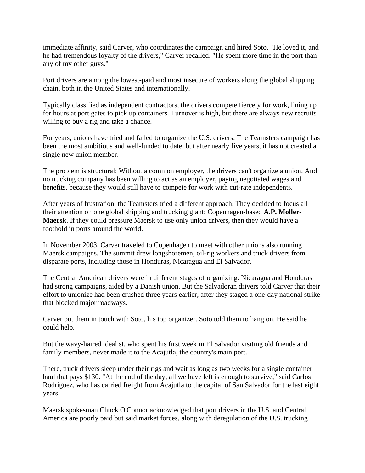immediate affinity, said Carver, who coordinates the campaign and hired Soto. "He loved it, and he had tremendous loyalty of the drivers," Carver recalled. "He spent more time in the port than any of my other guys."

Port drivers are among the lowest-paid and most insecure of workers along the global shipping chain, both in the United States and internationally.

Typically classified as independent contractors, the drivers compete fiercely for work, lining up for hours at port gates to pick up containers. Turnover is high, but there are always new recruits willing to buy a rig and take a chance.

For years, unions have tried and failed to organize the U.S. drivers. The Teamsters campaign has been the most ambitious and well-funded to date, but after nearly five years, it has not created a single new union member.

The problem is structural: Without a common employer, the drivers can't organize a union. And no trucking company has been willing to act as an employer, paying negotiated wages and benefits, because they would still have to compete for work with cut-rate independents.

After years of frustration, the Teamsters tried a different approach. They decided to focus all their attention on one global shipping and trucking giant: Copenhagen-based **A.P. Moller-Maersk**. If they could pressure Maersk to use only union drivers, then they would have a foothold in ports around the world.

In November 2003, Carver traveled to Copenhagen to meet with other unions also running Maersk campaigns. The summit drew longshoremen, oil-rig workers and truck drivers from disparate ports, including those in Honduras, Nicaragua and El Salvador.

The Central American drivers were in different stages of organizing: Nicaragua and Honduras had strong campaigns, aided by a Danish union. But the Salvadoran drivers told Carver that their effort to unionize had been crushed three years earlier, after they staged a one-day national strike that blocked major roadways.

Carver put them in touch with Soto, his top organizer. Soto told them to hang on. He said he could help.

But the wavy-haired idealist, who spent his first week in El Salvador visiting old friends and family members, never made it to the Acajutla, the country's main port.

There, truck drivers sleep under their rigs and wait as long as two weeks for a single container haul that pays \$130. "At the end of the day, all we have left is enough to survive," said Carlos Rodriguez, who has carried freight from Acajutla to the capital of San Salvador for the last eight years.

Maersk spokesman Chuck O'Connor acknowledged that port drivers in the U.S. and Central America are poorly paid but said market forces, along with deregulation of the U.S. trucking